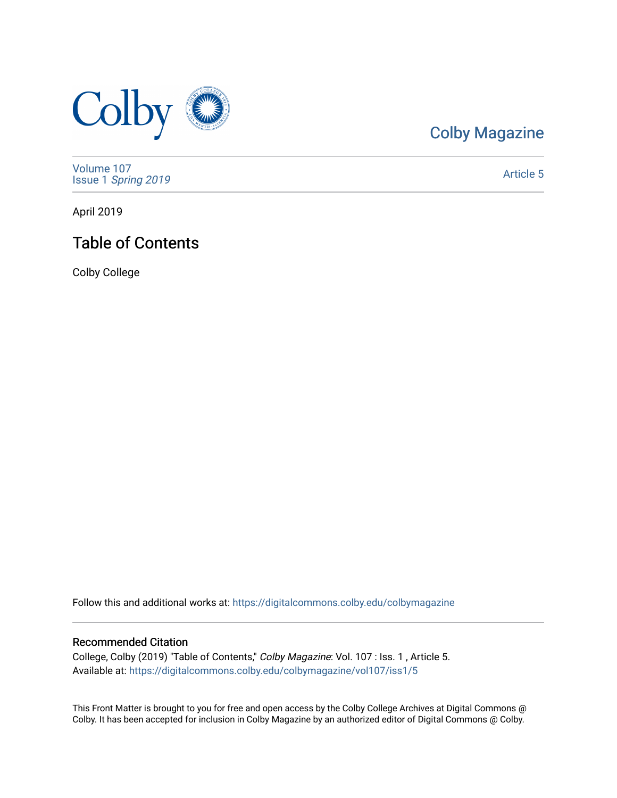

# [Colby Magazine](https://digitalcommons.colby.edu/colbymagazine)

[Volume 107](https://digitalcommons.colby.edu/colbymagazine/vol107) Issue 1 [Spring 2019](https://digitalcommons.colby.edu/colbymagazine/vol107/iss1) 

[Article 5](https://digitalcommons.colby.edu/colbymagazine/vol107/iss1/5) 

April 2019

# Table of Contents

Colby College

Follow this and additional works at: [https://digitalcommons.colby.edu/colbymagazine](https://digitalcommons.colby.edu/colbymagazine?utm_source=digitalcommons.colby.edu%2Fcolbymagazine%2Fvol107%2Fiss1%2F5&utm_medium=PDF&utm_campaign=PDFCoverPages)

### Recommended Citation

College, Colby (2019) "Table of Contents," Colby Magazine: Vol. 107 : Iss. 1 , Article 5. Available at: [https://digitalcommons.colby.edu/colbymagazine/vol107/iss1/5](https://digitalcommons.colby.edu/colbymagazine/vol107/iss1/5?utm_source=digitalcommons.colby.edu%2Fcolbymagazine%2Fvol107%2Fiss1%2F5&utm_medium=PDF&utm_campaign=PDFCoverPages) 

This Front Matter is brought to you for free and open access by the Colby College Archives at Digital Commons @ Colby. It has been accepted for inclusion in Colby Magazine by an authorized editor of Digital Commons @ Colby.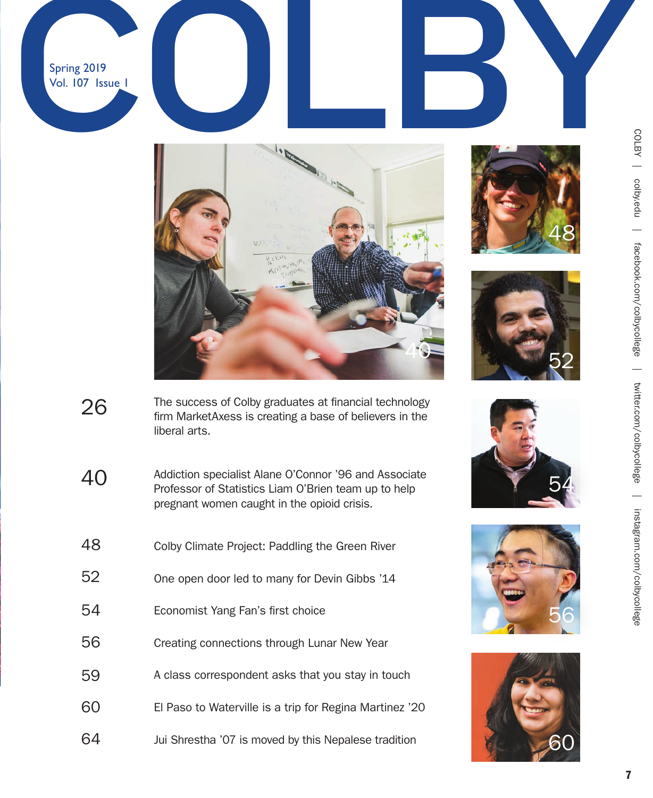Vol. 107 Issue 1













- 
- The success of Colby graduates at financial technology firm MarketAxess is creating a base of believers in the liberal arts. 26
- Addiction specialist Alane O'Connor '96 and Associate Professor of Statistics Liam O'Brien team up to help pregnant women caught in the opioid crisis. 40
- Colby Climate Project: Paddling the Green River 48
- One open door led to many for Devin Gibbs '14 52
- Economist Yang Fan's first choice 54
- Creating connections through Lunar New Year 56
- A class correspondent asks that you stay in touch 59
- El Paso to Waterville is a trip for Regina Martinez '20 60
- Jui Shrestha '07 is moved by this Nepalese tradition 64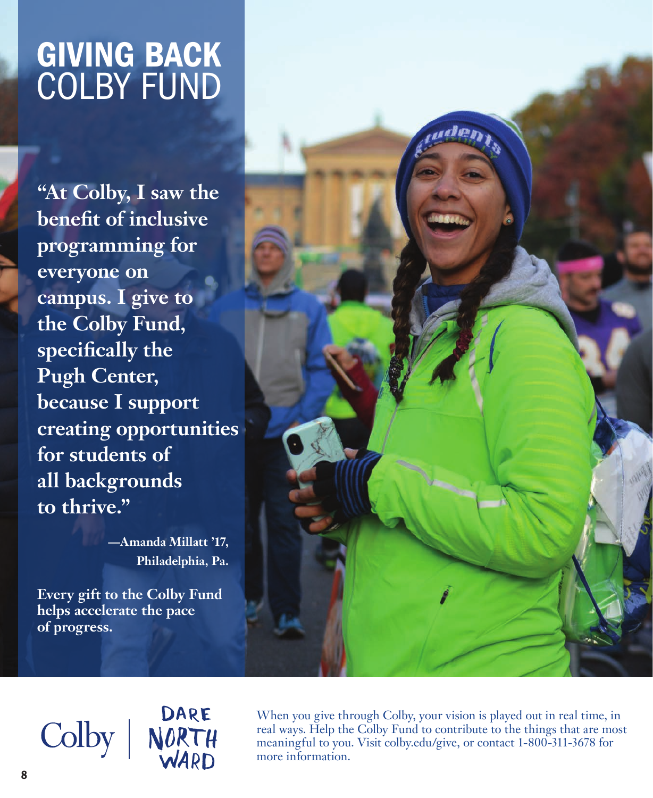# GIVING BACK COLBY FUND

**"At Colby, I saw the benefit of inclusive programming for everyone on campus. I give to the Colby Fund, specifically the Pugh Center, because I support creating opportunities for students of all backgrounds to thrive."** 

> **—Amanda Millatt '17, Philadelphia, Pa.**

**Every gift to the Colby Fund helps accelerate the pace of progress.**

DARE Colby | NORTH

When you give through Colby, your vision is played out in real time, in real ways. Help the Colby Fund to contribute to the things that are most meaningful to you. Visit colby.edu/give, or contact 1-800-311-3678 for more information.